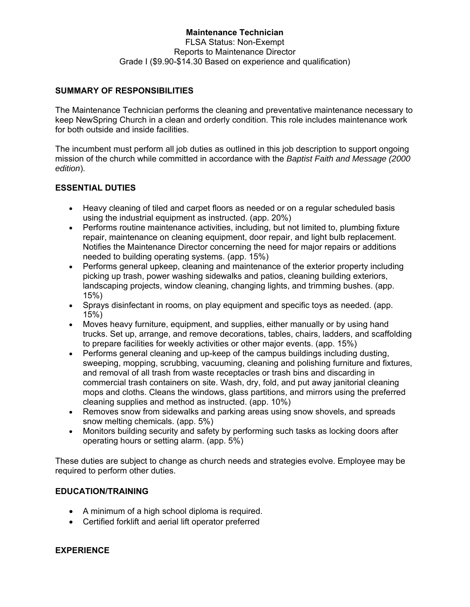## **Maintenance Technician**  FLSA Status: Non-Exempt Reports to Maintenance Director Grade I (\$9.90-\$14.30 Based on experience and qualification)

# **SUMMARY OF RESPONSIBILITIES**

The Maintenance Technician performs the cleaning and preventative maintenance necessary to keep NewSpring Church in a clean and orderly condition. This role includes maintenance work for both outside and inside facilities.

The incumbent must perform all job duties as outlined in this job description to support ongoing mission of the church while committed in accordance with the *Baptist Faith and Message (2000 edition*).

# **ESSENTIAL DUTIES**

- Heavy cleaning of tiled and carpet floors as needed or on a regular scheduled basis using the industrial equipment as instructed. (app. 20%)
- Performs routine maintenance activities, including, but not limited to, plumbing fixture repair, maintenance on cleaning equipment, door repair, and light bulb replacement. Notifies the Maintenance Director concerning the need for major repairs or additions needed to building operating systems. (app. 15%)
- Performs general upkeep, cleaning and maintenance of the exterior property including picking up trash, power washing sidewalks and patios, cleaning building exteriors, landscaping projects, window cleaning, changing lights, and trimming bushes. (app. 15%)
- Sprays disinfectant in rooms, on play equipment and specific toys as needed. (app. 15%)
- Moves heavy furniture, equipment, and supplies, either manually or by using hand trucks. Set up, arrange, and remove decorations, tables, chairs, ladders, and scaffolding to prepare facilities for weekly activities or other major events. (app. 15%)
- Performs general cleaning and up-keep of the campus buildings including dusting, sweeping, mopping, scrubbing, vacuuming, cleaning and polishing furniture and fixtures, and removal of all trash from waste receptacles or trash bins and discarding in commercial trash containers on site. Wash, dry, fold, and put away janitorial cleaning mops and cloths. Cleans the windows, glass partitions, and mirrors using the preferred cleaning supplies and method as instructed. (app. 10%)
- Removes snow from sidewalks and parking areas using snow shovels, and spreads snow melting chemicals. (app. 5%)
- Monitors building security and safety by performing such tasks as locking doors after operating hours or setting alarm. (app. 5%)

These duties are subject to change as church needs and strategies evolve. Employee may be required to perform other duties.

## **EDUCATION/TRAINING**

- A minimum of a high school diploma is required.
- Certified forklift and aerial lift operator preferred

#### **EXPERIENCE**